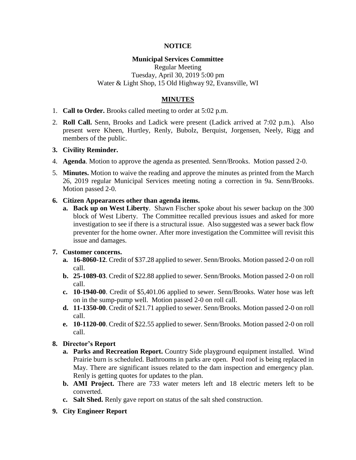### **NOTICE**

### **Municipal Services Committee**

Regular Meeting Tuesday, April 30, 2019 5:00 pm Water & Light Shop, 15 Old Highway 92, Evansville, WI

# **MINUTES**

- 1. **Call to Order.** Brooks called meeting to order at 5:02 p.m.
- 2. **Roll Call.** Senn, Brooks and Ladick were present (Ladick arrived at 7:02 p.m.). Also present were Kheen, Hurtley, Renly, Bubolz, Berquist, Jorgensen, Neely, Rigg and members of the public.

#### **3. Civility Reminder.**

- 4. **Agenda**. Motion to approve the agenda as presented. Senn/Brooks. Motion passed 2-0.
- 5. **Minutes.** Motion to waive the reading and approve the minutes as printed from the March 26, 2019 regular Municipal Services meeting noting a correction in 9a. Senn/Brooks. Motion passed 2-0.
- **6. Citizen Appearances other than agenda items.**
	- **a. Back up on West Liberty**. Shawn Fischer spoke about his sewer backup on the 300 block of West Liberty. The Committee recalled previous issues and asked for more investigation to see if there is a structural issue. Also suggested was a sewer back flow preventer for the home owner. After more investigation the Committee will revisit this issue and damages.

# **7. Customer concerns.**

- **a. 16-8060-12**. Credit of \$37.28 applied to sewer. Senn/Brooks. Motion passed 2-0 on roll call.
- **b. 25-1089-03**. Credit of \$22.88 applied to sewer. Senn/Brooks. Motion passed 2-0 on roll call.
- **c. 10-1940-00**. Credit of \$5,401.06 applied to sewer. Senn/Brooks. Water hose was left on in the sump-pump well. Motion passed 2-0 on roll call.
- **d. 11-1350-00**. Credit of \$21.71 applied to sewer. Senn/Brooks. Motion passed 2-0 on roll call.
- **e. 10-1120-00**. Credit of \$22.55 applied to sewer. Senn/Brooks. Motion passed 2-0 on roll call.

# **8. Director's Report**

- **a. Parks and Recreation Report.** Country Side playground equipment installed. Wind Prairie burn is scheduled. Bathrooms in parks are open. Pool roof is being replaced in May. There are significant issues related to the dam inspection and emergency plan. Renly is getting quotes for updates to the plan.
- **b. AMI Project.** There are 733 water meters left and 18 electric meters left to be converted.
- **c. Salt Shed.** Renly gave report on status of the salt shed construction.
- **9. City Engineer Report**